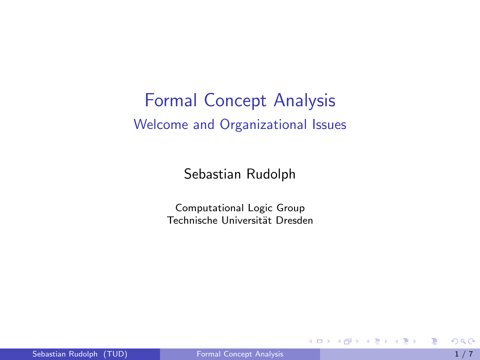# <span id="page-0-0"></span>Formal Concept Analysis Welcome and Organizational Issues

Sebastian Rudolph

Computational Logic Group Technische Universität Dresden

4 日下

 $\sim$ 

E

ラメ メラメ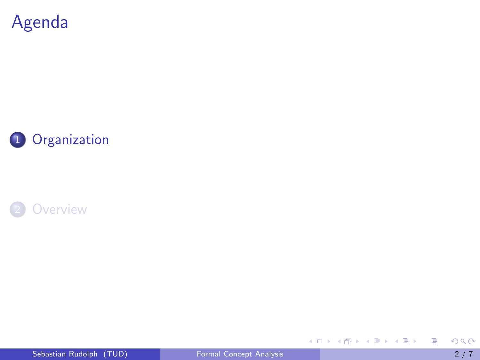<span id="page-1-0"></span>





Sebastian Rudolph (TUD) [Formal Concept Analysis](#page-0-0) 2 / 7

重

K ロ ▶ K 個 ▶ K 君 ▶ K 君 ▶ ...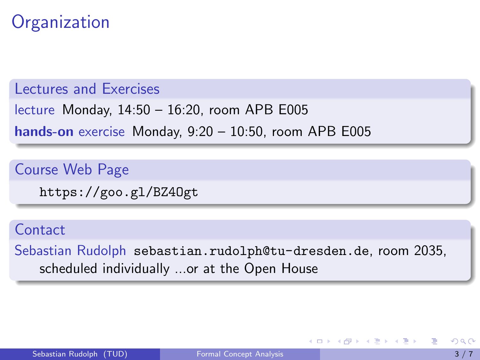## **Organization**

Lectures and Exercises

lecture Monday, 14:50 – 16:20, room APB E005

hands-on exercise Monday, 9:20 – 10:50, room APB E005

Course Web Page

<https://goo.gl/BZ4Ogt>

**Contact** 

Sebastian Rudolph <sebastian.rudolph@tu-dresden.de>, room 2035, scheduled individually ...or at the Open House

∢何 ▶ ∢ ヨ ▶ ∢ ヨ ▶

4 D F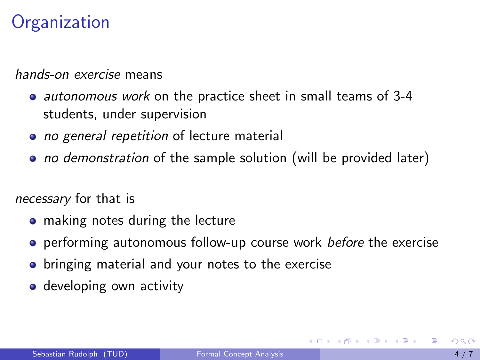# **Organization**

hands-on exercise means

- autonomous work on the practice sheet in small teams of 3-4 students, under supervision
- no general repetition of lecture material
- no demonstration of the sample solution (will be provided later)

necessary for that is

- making notes during the lecture
- o performing autonomous follow-up course work before the exercise
- **•** bringing material and your notes to the exercise
- **o** developing own activity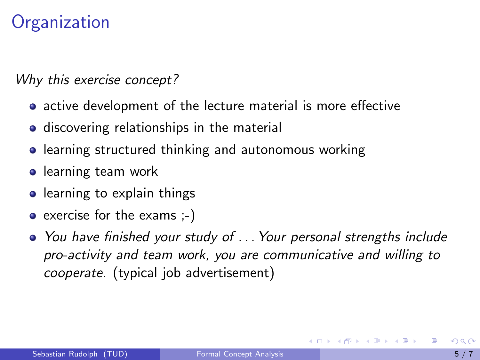## **Organization**

Why this exercise concept?

- active development of the lecture material is more effective
- **o** discovering relationships in the material
- **•** learning structured thinking and autonomous working
- **o** learning team work
- learning to explain things
- $\bullet$  exercise for the exams  $(-)$
- You have finished your study of . . . Your personal strengths include pro-activity and team work, you are communicative and willing to cooperate. (typical job advertisement)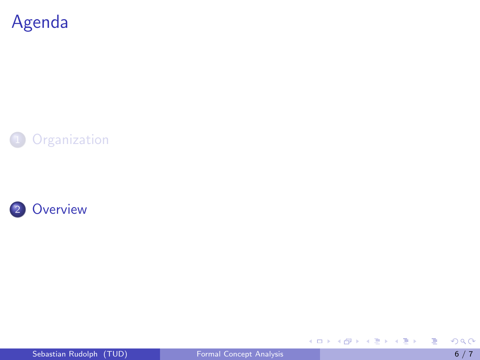<span id="page-5-0"></span>





重

イロメ イ部メ イヨメ イヨメー